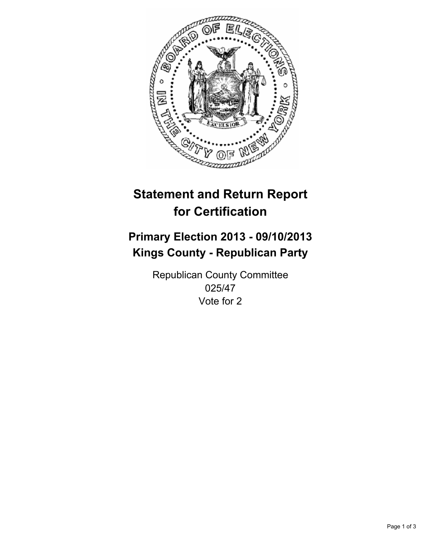

# **Statement and Return Report for Certification**

# **Primary Election 2013 - 09/10/2013 Kings County - Republican Party**

Republican County Committee 025/47 Vote for 2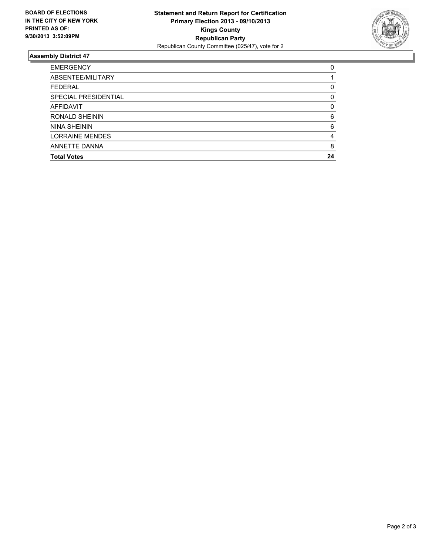

## **Assembly District 47**

| <b>EMERGENCY</b>       | 0        |
|------------------------|----------|
| ABSENTEE/MILITARY      |          |
| <b>FEDERAL</b>         | 0        |
| SPECIAL PRESIDENTIAL   | $\Omega$ |
| AFFIDAVIT              | $\Omega$ |
| RONALD SHEININ         | 6        |
| <b>NINA SHEININ</b>    | 6        |
| <b>LORRAINE MENDES</b> | 4        |
| ANNETTE DANNA          | 8        |
| <b>Total Votes</b>     | 24       |